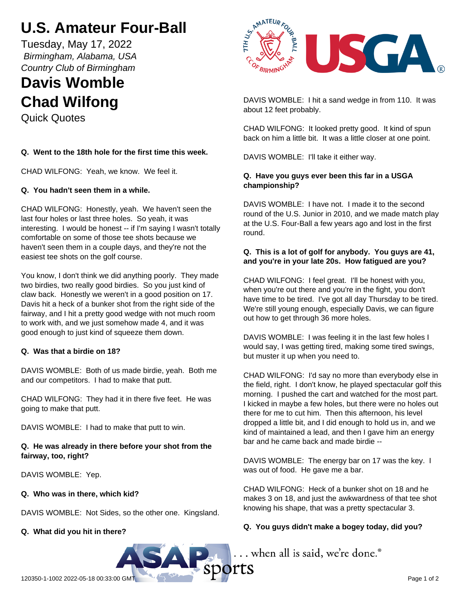# **U.S. Amateur Four-Ball**

Tuesday, May 17, 2022  *Birmingham, Alabama, USA Country Club of Birmingham*

# **Davis Womble Chad Wilfong**

Quick Quotes

# **Q. Went to the 18th hole for the first time this week.**

CHAD WILFONG: Yeah, we know. We feel it.

## **Q. You hadn't seen them in a while.**

CHAD WILFONG: Honestly, yeah. We haven't seen the last four holes or last three holes. So yeah, it was interesting. I would be honest -- if I'm saying I wasn't totally comfortable on some of those tee shots because we haven't seen them in a couple days, and they're not the easiest tee shots on the golf course.

You know, I don't think we did anything poorly. They made two birdies, two really good birdies. So you just kind of claw back. Honestly we weren't in a good position on 17. Davis hit a heck of a bunker shot from the right side of the fairway, and I hit a pretty good wedge with not much room to work with, and we just somehow made 4, and it was good enough to just kind of squeeze them down.

#### **Q. Was that a birdie on 18?**

DAVIS WOMBLE: Both of us made birdie, yeah. Both me and our competitors. I had to make that putt.

CHAD WILFONG: They had it in there five feet. He was going to make that putt.

DAVIS WOMBLE: I had to make that putt to win.

## **Q. He was already in there before your shot from the fairway, too, right?**

DAVIS WOMBLE: Yep.

#### **Q. Who was in there, which kid?**

DAVIS WOMBLE: Not Sides, so the other one. Kingsland.

# **Q. What did you hit in there?**



DAVIS WOMBLE: I hit a sand wedge in from 110. It was about 12 feet probably.

CHAD WILFONG: It looked pretty good. It kind of spun back on him a little bit. It was a little closer at one point.

DAVIS WOMBLE: I'll take it either way.

## **Q. Have you guys ever been this far in a USGA championship?**

DAVIS WOMBLE: I have not. I made it to the second round of the U.S. Junior in 2010, and we made match play at the U.S. Four-Ball a few years ago and lost in the first round.

## **Q. This is a lot of golf for anybody. You guys are 41, and you're in your late 20s. How fatigued are you?**

CHAD WILFONG: I feel great. I'll be honest with you, when you're out there and you're in the fight, you don't have time to be tired. I've got all day Thursday to be tired. We're still young enough, especially Davis, we can figure out how to get through 36 more holes.

DAVIS WOMBLE: I was feeling it in the last few holes I would say, I was getting tired, making some tired swings, but muster it up when you need to.

CHAD WILFONG: I'd say no more than everybody else in the field, right. I don't know, he played spectacular golf this morning. I pushed the cart and watched for the most part. I kicked in maybe a few holes, but there were no holes out there for me to cut him. Then this afternoon, his level dropped a little bit, and I did enough to hold us in, and we kind of maintained a lead, and then I gave him an energy bar and he came back and made birdie --

DAVIS WOMBLE: The energy bar on 17 was the key. I was out of food. He gave me a bar.

CHAD WILFONG: Heck of a bunker shot on 18 and he makes 3 on 18, and just the awkwardness of that tee shot knowing his shape, that was a pretty spectacular 3.

# **Q. You guys didn't make a bogey today, did you?**

... when all is said, we're done.®